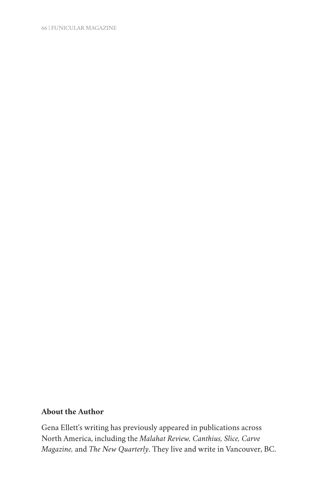66 | FUNICULAR MAGAZINE

# **About the Author**

Gena Ellett's writing has previously appeared in publications across North America, including the *Malahat Review, Canthius, Slice, Carve Magazine,* and *The New Quarterly*. They live and write in Vancouver, BC.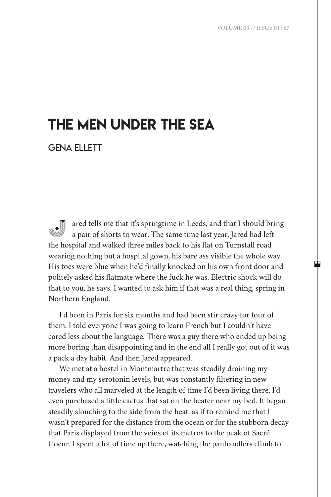中

# the men under the sea

gena ellett

ared tells me that it's springtime in Leeds, and that I should bring a pair of shorts to wear. The same time last year, Jared had left the hospital and walked three miles back to his flat on Turnstall road wearing nothing but a hospital gown, his bare ass visible the whole way. His toes were blue when he'd finally knocked on his own front door and politely asked his flatmate where the fuck he was. Electric shock will do that to you, he says. I wanted to ask him if that was a real thing, spring in Northern England.

I'd been in Paris for six months and had been stir crazy for four of them. I told everyone I was going to learn French but I couldn't have cared less about the language. There was a guy there who ended up being more boring than disappointing and in the end all I really got out of it was a pack a day habit. And then Jared appeared.

We met at a hostel in Montmartre that was steadily draining my money and my serotonin levels, but was constantly filtering in new travelers who all marveled at the length of time I'd been living there. I'd even purchased a little cactus that sat on the heater near my bed. It began steadily slouching to the side from the heat, as if to remind me that I wasn't prepared for the distance from the ocean or for the stubborn decay that Paris displayed from the veins of its metros to the peak of Sacré Coeur. I spent a lot of time up there, watching the panhandlers climb to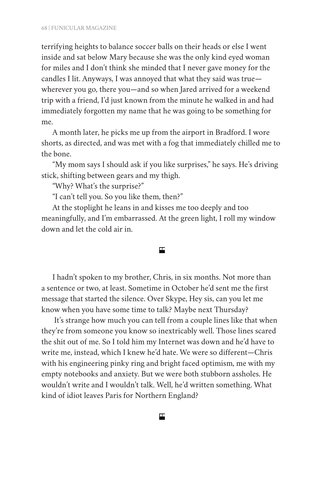terrifying heights to balance soccer balls on their heads or else I went inside and sat below Mary because she was the only kind eyed woman for miles and I don't think she minded that I never gave money for the candles I lit. Anyways, I was annoyed that what they said was true wherever you go, there you—and so when Jared arrived for a weekend trip with a friend, I'd just known from the minute he walked in and had immediately forgotten my name that he was going to be something for me.

A month later, he picks me up from the airport in Bradford. I wore shorts, as directed, and was met with a fog that immediately chilled me to the bone.

"My mom says I should ask if you like surprises," he says. He's driving stick, shifting between gears and my thigh.

"Why? What's the surprise?"

"I can't tell you. So you like them, then?"

At the stoplight he leans in and kisses me too deeply and too meaningfully, and I'm embarrassed. At the green light, I roll my window down and let the cold air in.

#### 囯

I hadn't spoken to my brother, Chris, in six months. Not more than a sentence or two, at least. Sometime in October he'd sent me the first message that started the silence. Over Skype, Hey sis, can you let me know when you have some time to talk? Maybe next Thursday?

 It's strange how much you can tell from a couple lines like that when they're from someone you know so inextricably well. Those lines scared the shit out of me. So I told him my Internet was down and he'd have to write me, instead, which I knew he'd hate. We were so different—Chris with his engineering pinky ring and bright faced optimism, me with my empty notebooks and anxiety. But we were both stubborn assholes. He wouldn't write and I wouldn't talk. Well, he'd written something. What kind of idiot leaves Paris for Northern England?

ш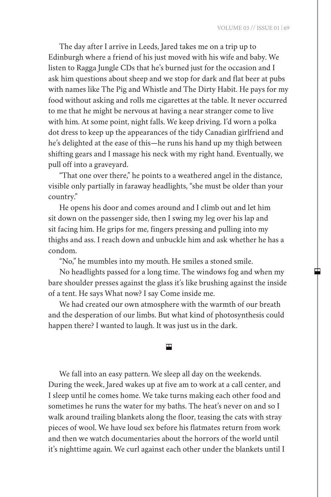中

The day after I arrive in Leeds, Jared takes me on a trip up to Edinburgh where a friend of his just moved with his wife and baby. We listen to Ragga Jungle CDs that he's burned just for the occasion and I ask him questions about sheep and we stop for dark and flat beer at pubs with names like The Pig and Whistle and The Dirty Habit. He pays for my food without asking and rolls me cigarettes at the table. It never occurred to me that he might be nervous at having a near stranger come to live with him. At some point, night falls. We keep driving. I'd worn a polka dot dress to keep up the appearances of the tidy Canadian girlfriend and he's delighted at the ease of this—he runs his hand up my thigh between shifting gears and I massage his neck with my right hand. Eventually, we pull off into a graveyard.

"That one over there," he points to a weathered angel in the distance, visible only partially in faraway headlights, "she must be older than your country."

He opens his door and comes around and I climb out and let him sit down on the passenger side, then I swing my leg over his lap and sit facing him. He grips for me, fingers pressing and pulling into my thighs and ass. I reach down and unbuckle him and ask whether he has a condom.

"No," he mumbles into my mouth. He smiles a stoned smile.

No headlights passed for a long time. The windows fog and when my bare shoulder presses against the glass it's like brushing against the inside of a tent. He says What now? I say Come inside me.

We had created our own atmosphere with the warmth of our breath and the desperation of our limbs. But what kind of photosynthesis could happen there? I wanted to laugh. It was just us in the dark.

## 円

We fall into an easy pattern. We sleep all day on the weekends. During the week, Jared wakes up at five am to work at a call center, and I sleep until he comes home. We take turns making each other food and sometimes he runs the water for my baths. The heat's never on and so I walk around trailing blankets along the floor, teasing the cats with stray pieces of wool. We have loud sex before his flatmates return from work and then we watch documentaries about the horrors of the world until it's nighttime again. We curl against each other under the blankets until I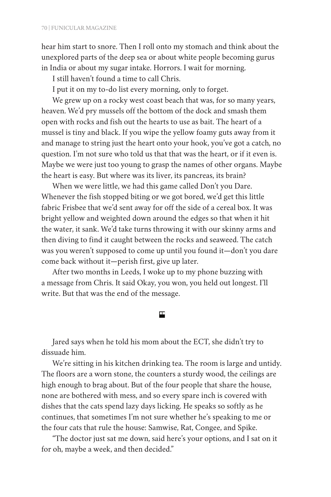hear him start to snore. Then I roll onto my stomach and think about the unexplored parts of the deep sea or about white people becoming gurus in India or about my sugar intake. Horrors. I wait for morning.

I still haven't found a time to call Chris.

I put it on my to-do list every morning, only to forget.

We grew up on a rocky west coast beach that was, for so many years, heaven. We'd pry mussels off the bottom of the dock and smash them open with rocks and fish out the hearts to use as bait. The heart of a mussel is tiny and black. If you wipe the yellow foamy guts away from it and manage to string just the heart onto your hook, you've got a catch, no question. I'm not sure who told us that that was the heart, or if it even is. Maybe we were just too young to grasp the names of other organs. Maybe the heart is easy. But where was its liver, its pancreas, its brain?

When we were little, we had this game called Don't you Dare. Whenever the fish stopped biting or we got bored, we'd get this little fabric Frisbee that we'd sent away for off the side of a cereal box. It was bright yellow and weighted down around the edges so that when it hit the water, it sank. We'd take turns throwing it with our skinny arms and then diving to find it caught between the rocks and seaweed. The catch was you weren't supposed to come up until you found it—don't you dare come back without it—perish first, give up later.

After two months in Leeds, I woke up to my phone buzzing with a message from Chris. It said Okay, you won, you held out longest. I'll write. But that was the end of the message.

## 囯

Jared says when he told his mom about the ECT, she didn't try to dissuade him.

We're sitting in his kitchen drinking tea. The room is large and untidy. The floors are a worn stone, the counters a sturdy wood, the ceilings are high enough to brag about. But of the four people that share the house, none are bothered with mess, and so every spare inch is covered with dishes that the cats spend lazy days licking. He speaks so softly as he continues, that sometimes I'm not sure whether he's speaking to me or the four cats that rule the house: Samwise, Rat, Congee, and Spike.

"The doctor just sat me down, said here's your options, and I sat on it for oh, maybe a week, and then decided."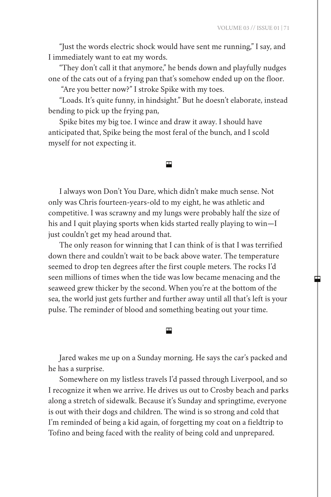"Just the words electric shock would have sent me running," I say, and I immediately want to eat my words.

"They don't call it that anymore," he bends down and playfully nudges one of the cats out of a frying pan that's somehow ended up on the floor.

"Are you better now?" I stroke Spike with my toes.

"Loads. It's quite funny, in hindsight." But he doesn't elaborate, instead bending to pick up the frying pan,

Spike bites my big toe. I wince and draw it away. I should have anticipated that, Spike being the most feral of the bunch, and I scold myself for not expecting it.

#### 円

I always won Don't You Dare, which didn't make much sense. Not only was Chris fourteen-years-old to my eight, he was athletic and competitive. I was scrawny and my lungs were probably half the size of his and I quit playing sports when kids started really playing to win—I just couldn't get my head around that.

The only reason for winning that I can think of is that I was terrified down there and couldn't wait to be back above water. The temperature seemed to drop ten degrees after the first couple meters. The rocks I'd seen millions of times when the tide was low became menacing and the seaweed grew thicker by the second. When you're at the bottom of the sea, the world just gets further and further away until all that's left is your pulse. The reminder of blood and something beating out your time.

Jared wakes me up on a Sunday morning. He says the car's packed and he has a surprise.

囯

Somewhere on my listless travels I'd passed through Liverpool, and so I recognize it when we arrive. He drives us out to Crosby beach and parks along a stretch of sidewalk. Because it's Sunday and springtime, everyone is out with their dogs and children. The wind is so strong and cold that I'm reminded of being a kid again, of forgetting my coat on a fieldtrip to Tofino and being faced with the reality of being cold and unprepared.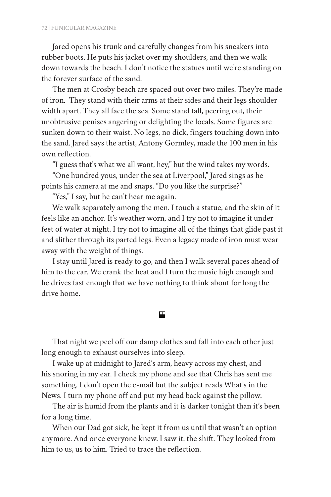Jared opens his trunk and carefully changes from his sneakers into rubber boots. He puts his jacket over my shoulders, and then we walk down towards the beach. I don't notice the statues until we're standing on the forever surface of the sand.

The men at Crosby beach are spaced out over two miles. They're made of iron. They stand with their arms at their sides and their legs shoulder width apart. They all face the sea. Some stand tall, peering out, their unobtrusive penises angering or delighting the locals. Some figures are sunken down to their waist. No legs, no dick, fingers touching down into the sand. Jared says the artist, Antony Gormley, made the 100 men in his own reflection.

"I guess that's what we all want, hey," but the wind takes my words.

"One hundred yous, under the sea at Liverpool," Jared sings as he points his camera at me and snaps. "Do you like the surprise?"

"Yes," I say, but he can't hear me again.

We walk separately among the men. I touch a statue, and the skin of it feels like an anchor. It's weather worn, and I try not to imagine it under feet of water at night. I try not to imagine all of the things that glide past it and slither through its parted legs. Even a legacy made of iron must wear away with the weight of things.

I stay until Jared is ready to go, and then I walk several paces ahead of him to the car. We crank the heat and I turn the music high enough and he drives fast enough that we have nothing to think about for long the drive home.

## 囯

That night we peel off our damp clothes and fall into each other just long enough to exhaust ourselves into sleep.

I wake up at midnight to Jared's arm, heavy across my chest, and his snoring in my ear. I check my phone and see that Chris has sent me something. I don't open the e-mail but the subject reads What's in the News. I turn my phone off and put my head back against the pillow.

The air is humid from the plants and it is darker tonight than it's been for a long time.

When our Dad got sick, he kept it from us until that wasn't an option anymore. And once everyone knew, I saw it, the shift. They looked from him to us, us to him. Tried to trace the reflection.